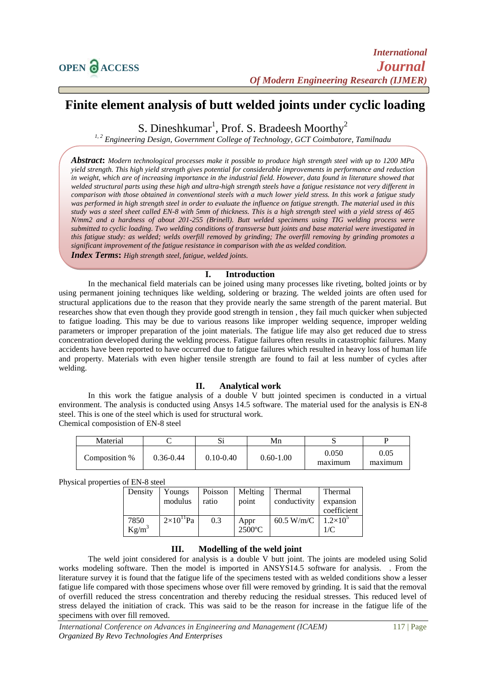# **Finite element analysis of butt welded joints under cyclic loading**

S. Dineshkumar<sup>1</sup>, Prof. S. Bradeesh Moorthy<sup>2</sup>

*1, 2 Engineering Design, Government College of Technology, GCT Coimbatore, Tamilnadu*

*Abstract***:** *Modern technological processes make it possible to produce high strength steel with up to 1200 MPa yield strength. This high yield strength gives potential for considerable improvements in performance and reduction*  in weight, which are of increasing importance in the industrial field. However, data found in literature showed that *welded structural parts using these high and ultra-high strength steels have a fatigue resistance not very different in comparison with those obtained in conventional steels with a much lower yield stress. In this work a fatigue study was performed in high strength steel in order to evaluate the influence on fatigue strength. The material used in this study was a steel sheet called EN-8 with 5mm of thickness. This is a high strength steel with a yield stress of 465 N/mm2 and a hardness of about 201-255 (Brinell). Butt welded specimens using TIG welding process were submitted to cyclic loading. Two welding conditions of transverse butt joints and base material were investigated in this fatigue study: as welded; welds overfill removed by grinding; The overfill removing by grinding promotes a significant improvement of the fatigue resistance in comparison with the as welded condition.* 

*Index Terms***:** *High strength steel, fatigue, welded joints.*

## **I. Introduction**

In the mechanical field materials can be joined using many processes like riveting, bolted joints or by using permanent joining techniques like welding, soldering or brazing. The welded joints are often used for structural applications due to the reason that they provide nearly the same strength of the parent material. But researches show that even though they provide good strength in tension , they fail much quicker when subjected to fatigue loading. This may be due to various reasons like improper welding sequence, improper welding parameters or improper preparation of the joint materials. The fatigue life may also get reduced due to stress concentration developed during the welding process. Fatigue failures often results in catastrophic failures. Many accidents have been reported to have occurred due to fatigue failures which resulted in heavy loss of human life and property. Materials with even higher tensile strength are found to fail at less number of cycles after welding.

### **II. Analytical work**

In this work the fatigue analysis of a double V butt jointed specimen is conducted in a virtual environment. The analysis is conducted using Ansys 14.5 software. The material used for the analysis is EN-8 steel. This is one of the steel which is used for structural work. Chemical composistion of EN-8 steel

| Material      |               | ື             | Mn            |                  |                 |
|---------------|---------------|---------------|---------------|------------------|-----------------|
| Composition % | $0.36 - 0.44$ | $0.10 - 0.40$ | $0.60 - 1.00$ | 0.050<br>maximum | 0.05<br>maximum |

Physical properties of EN-8 steel

| Density          | Youngs<br>modulus   | Poisson<br>ratio | Melting<br>point  | Thermal<br>conductivity | Thermal<br>expansion<br>coefficient |
|------------------|---------------------|------------------|-------------------|-------------------------|-------------------------------------|
| 7850<br>$Kg/m^3$ | $2\times10^{11}$ Pa | 0.3              | Appr<br>$2500$ °C | $60.5 \text{ W/m/C}$    | $1.2\times10^{5}$<br>1/C            |

## **III. Modelling of the weld joint**

The weld joint considered for analysis is a double V butt joint. The joints are modeled using Solid works modeling software. Then the model is imported in ANSYS14.5 software for analysis. . From the literature survey it is found that the fatigue life of the specimens tested with as welded conditions show a lesser fatigue life compared with those specimens whose over fill were removed by grinding. It is said that the removal of overfill reduced the stress concentration and thereby reducing the residual stresses. This reduced level of stress delayed the initiation of crack. This was said to be the reason for increase in the fatigue life of the specimens with over fill removed.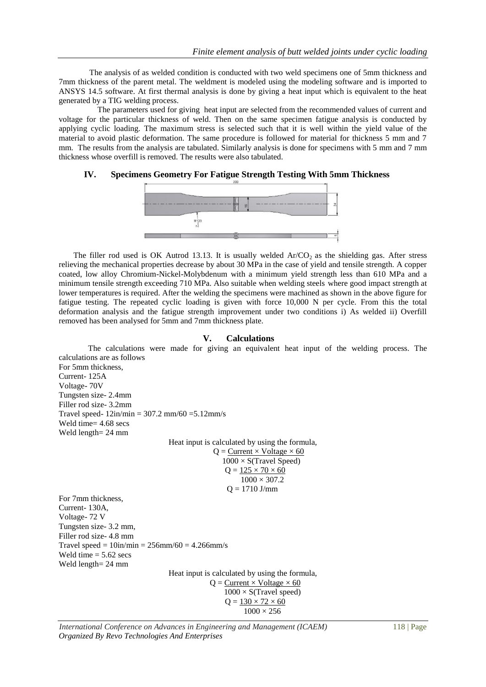The analysis of as welded condition is conducted with two weld specimens one of 5mm thickness and 7mm thickness of the parent metal. The weldment is modeled using the modeling software and is imported to ANSYS 14.5 software. At first thermal analysis is done by giving a heat input which is equivalent to the heat generated by a TIG welding process.

 The parameters used for giving heat input are selected from the recommended values of current and voltage for the particular thickness of weld. Then on the same specimen fatigue analysis is conducted by applying cyclic loading. The maximum stress is selected such that it is well within the yield value of the material to avoid plastic deformation. The same procedure is followed for material for thickness 5 mm and 7 mm. The results from the analysis are tabulated. Similarly analysis is done for specimens with 5 mm and 7 mm thickness whose overfill is removed. The results were also tabulated.

## **IV. Specimens Geometry For Fatigue Strength Testing With 5mm Thickness**



The filler rod used is OK Autrod 13.13. It is usually welded  $Ar/CO<sub>2</sub>$  as the shielding gas. After stress relieving the mechanical properties decrease by about 30 MPa in the case of yield and tensile strength. A copper coated, low alloy Chromium-Nickel-Molybdenum with a minimum yield strength less than 610 MPa and a minimum tensile strength exceeding 710 MPa. Also suitable when welding steels where good impact strength at lower temperatures is required. After the welding the specimens were machined as shown in the above figure for fatigue testing. The repeated cyclic loading is given with force 10,000 N per cycle. From this the total deformation analysis and the fatigue strength improvement under two conditions i) As welded ii) Overfill removed has been analysed for 5mm and 7mm thickness plate.

#### **V. Calculations**

The calculations were made for giving an equivalent heat input of the welding process. The calculations are as follows For 5mm thickness, Current- 125A Voltage- 70V Tungsten size- 2.4mm Filler rod size- 3.2mm Travel speed-  $12in/min = 307.2$  mm/60 = 5.12 mm/s Weld time= 4.68 secs Weld length= 24 mm

Heat input is calculated by using the formula,  $Q =$  Current  $\times$  Voltage  $\times$  60  $1000 \times S$ (Travel Speed)  $Q = 125 \times 70 \times 60$ 

> $1000 \times 307.2$  $Q = 1710$  J/mm

For 7mm thickness, Current- 130A, Voltage- 72 V Tungsten size- 3.2 mm, Filler rod size- 4.8 mm Travel speed =  $10in/min = 256mm/60 = 4.266mm/s$ Weld time  $= 5.62$  secs Weld length= 24 mm Heat input is calculated by using the formula,  $Q =$  Current  $\times$  Voltage  $\times$  60  $1000 \times S$ (Travel speed)

 $Q = 130 \times 72 \times 60$  $1000 \times 256$ 

*International Conference on Advances in Engineering and Management (ICAEM)* 118 | Page *Organized By Revo Technologies And Enterprises*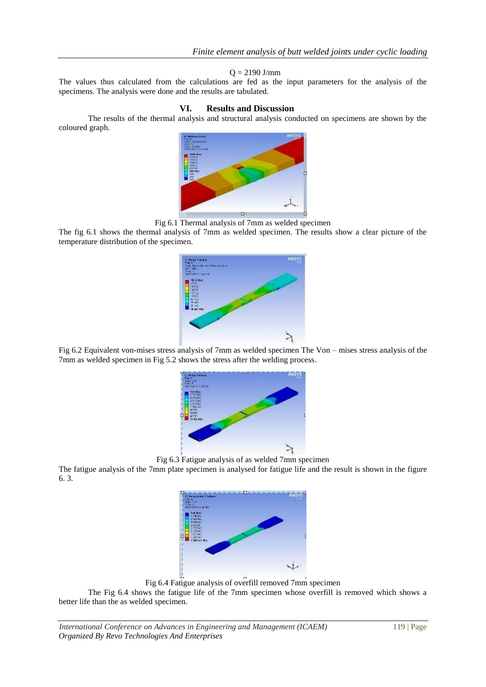### $Q = 2190$  J/mm

The values thus calculated from the calculations are fed as the input parameters for the analysis of the specimens. The analysis were done and the results are tabulated.

## **VI. Results and Discussion**

The results of the thermal analysis and structural analysis conducted on specimens are shown by the coloured graph.



Fig 6.1 Thermal analysis of 7mm as welded specimen

The fig 6.1 shows the thermal analysis of 7mm as welded specimen. The results show a clear picture of the temperature distribution of the specimen.



Fig 6.2 Equivalent von-mises stress analysis of 7mm as welded specimen The Von – mises stress analysis of the 7mm as welded specimen in Fig 5.2 shows the stress after the welding process.



Fig 6.3 Fatigue analysis of as welded 7mm specimen

The fatigue analysis of the 7mm plate specimen is analysed for fatigue life and the result is shown in the figure 6. 3.



Fig 6.4 Fatigue analysis of overfill removed 7mm specimen

The Fig 6.4 shows the fatigue life of the 7mm specimen whose overfill is removed which shows a better life than the as welded specimen.

*International Conference on Advances in Engineering and Management (ICAEM)* 119 | Page *Organized By Revo Technologies And Enterprises*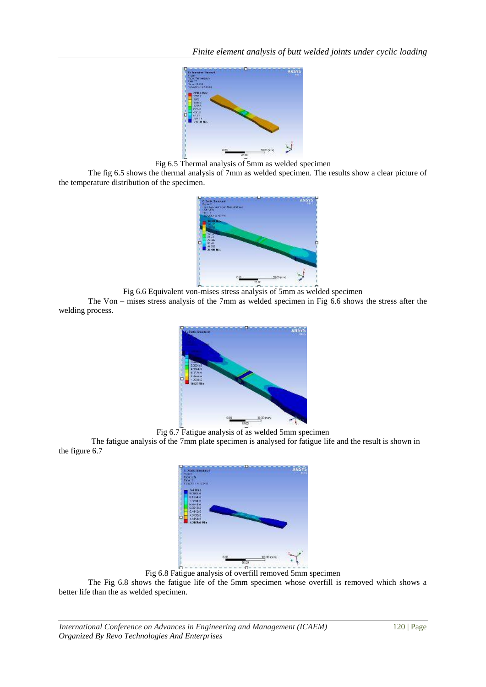

Fig 6.5 Thermal analysis of 5mm as welded specimen

The fig 6.5 shows the thermal analysis of 7mm as welded specimen. The results show a clear picture of the temperature distribution of the specimen.



Fig 6.6 Equivalent von-mises stress analysis of 5mm as welded specimen

The Von – mises stress analysis of the 7mm as welded specimen in Fig 6.6 shows the stress after the welding process.



Fig 6.7 Fatigue analysis of as welded 5mm specimen

The fatigue analysis of the 7mm plate specimen is analysed for fatigue life and the result is shown in the figure 6.7



Fig 6.8 Fatigue analysis of overfill removed 5mm specimen

The Fig 6.8 shows the fatigue life of the 5mm specimen whose overfill is removed which shows a better life than the as welded specimen.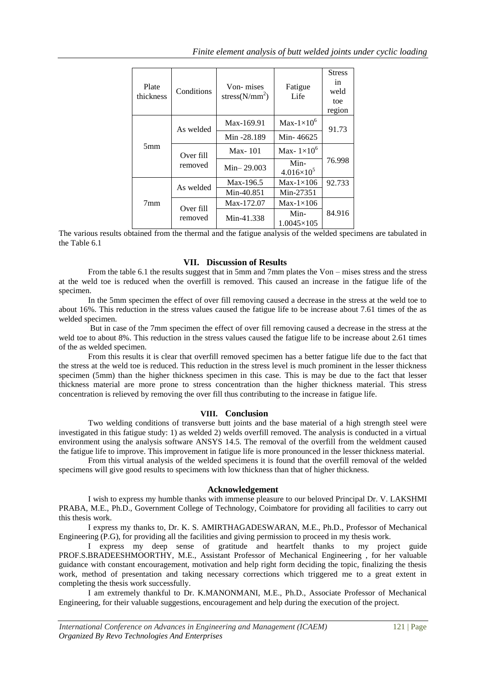| Plate<br>thickness | Conditions           | Von-mises<br>stress $(N/mm^2)$ | Fatigue<br>Life             | <b>Stress</b><br>in<br>weld<br>toe<br>region |  |
|--------------------|----------------------|--------------------------------|-----------------------------|----------------------------------------------|--|
|                    | As welded            | Max-169.91                     | Max- $1\times10^6$          | 91.73                                        |  |
|                    |                      | Min -28.189                    | Min-46625                   |                                              |  |
| 5mm                | Over fill<br>removed | $Max-101$                      | Max- $1\times10^6$          |                                              |  |
|                    |                      | $Min-29.003$                   | Min-<br>$4.016\times10^{5}$ | 76.998                                       |  |
|                    | As welded            | Max-196.5                      | $Max-1\times106$            | 92.733                                       |  |
|                    |                      | Min-40.851                     | Min-27351                   |                                              |  |
| $7 \text{mm}$      | Over fill<br>removed | Max-172.07                     | $Max-1\times106$            |                                              |  |
|                    |                      | Min-41.338                     | Min-<br>$1.0045\times105$   | 84.916                                       |  |

The various results obtained from the thermal and the fatigue analysis of the welded specimens are tabulated in the Table 6.1

# **VII. Discussion of Results**

From the table 6.1 the results suggest that in 5mm and 7mm plates the Von – mises stress and the stress at the weld toe is reduced when the overfill is removed. This caused an increase in the fatigue life of the specimen.

In the 5mm specimen the effect of over fill removing caused a decrease in the stress at the weld toe to about 16%. This reduction in the stress values caused the fatigue life to be increase about 7.61 times of the as welded specimen.

But in case of the 7mm specimen the effect of over fill removing caused a decrease in the stress at the weld toe to about 8%. This reduction in the stress values caused the fatigue life to be increase about 2.61 times of the as welded specimen.

From this results it is clear that overfill removed specimen has a better fatigue life due to the fact that the stress at the weld toe is reduced. This reduction in the stress level is much prominent in the lesser thickness specimen (5mm) than the higher thickness specimen in this case. This is may be due to the fact that lesser thickness material are more prone to stress concentration than the higher thickness material. This stress concentration is relieved by removing the over fill thus contributing to the increase in fatigue life.

### **VIII. Conclusion**

Two welding conditions of transverse butt joints and the base material of a high strength steel were investigated in this fatigue study: 1) as welded 2) welds overfill removed. The analysis is conducted in a virtual environment using the analysis software ANSYS 14.5. The removal of the overfill from the weldment caused the fatigue life to improve. This improvement in fatigue life is more pronounced in the lesser thickness material.

From this virtual analysis of the welded specimens it is found that the overfill removal of the welded specimens will give good results to specimens with low thickness than that of higher thickness.

## **Acknowledgement**

I wish to express my humble thanks with immense pleasure to our beloved Principal Dr. V. LAKSHMI PRABA, M.E., Ph.D., Government College of Technology, Coimbatore for providing all facilities to carry out this thesis work.

I express my thanks to, Dr. K. S. AMIRTHAGADESWARAN, M.E., Ph.D., Professor of Mechanical Engineering (P.G), for providing all the facilities and giving permission to proceed in my thesis work.

I express my deep sense of gratitude and heartfelt thanks to my project guide PROF.S.BRADEESHMOORTHY, M.E., Assistant Professor of Mechanical Engineering , for her valuable guidance with constant encouragement, motivation and help right form deciding the topic, finalizing the thesis work, method of presentation and taking necessary corrections which triggered me to a great extent in completing the thesis work successfully.

I am extremely thankful to Dr. K.MANONMANI, M.E., Ph.D., Associate Professor of Mechanical Engineering, for their valuable suggestions, encouragement and help during the execution of the project.